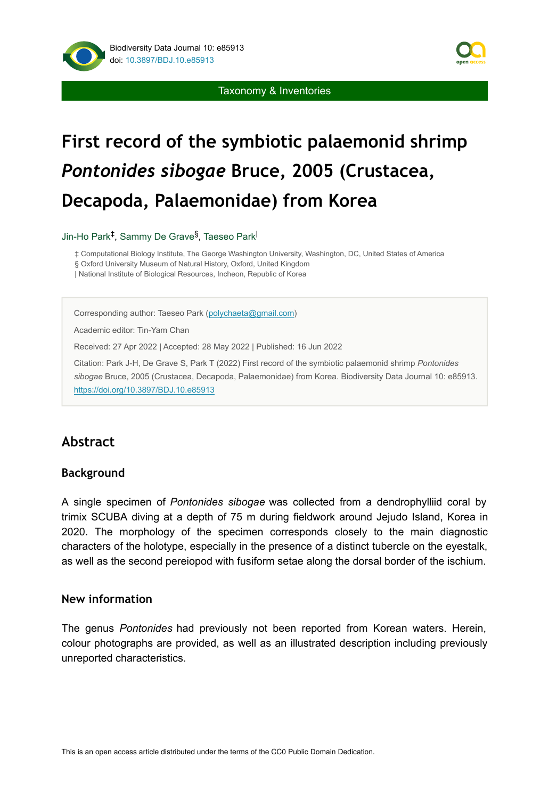

Taxonomy & Inventories

# **First record of the symbiotic palaemonid shrimp**  *Pontonides sibogae* **Bruce, 2005 (Crustacea, Decapoda, Palaemonidae) from Korea**

Jin-Ho Park<sup>‡</sup>, Sammy De Grave<sup>§</sup>, Taeseo Park<sup>|</sup>

‡ Computational Biology Institute, The George Washington University, Washington, DC, United States of America

§ Oxford University Museum of Natural History, Oxford, United Kingdom

| National Institute of Biological Resources, Incheon, Republic of Korea

Corresponding author: Taeseo Park ([polychaeta@gmail.com](mailto:polychaeta@gmail.com))

Academic editor: Tin-Yam Chan

Received: 27 Apr 2022 | Accepted: 28 May 2022 | Published: 16 Jun 2022

Citation: Park J-H, De Grave S, Park T (2022) First record of the symbiotic palaemonid shrimp *Pontonides sibogae* Bruce, 2005 (Crustacea, Decapoda, Palaemonidae) from Korea. Biodiversity Data Journal 10: e85913. <https://doi.org/10.3897/BDJ.10.e85913>

# **Abstract**

## **Background**

A single specimen of *Pontonides sibogae* was collected from a dendrophylliid coral by trimix SCUBA diving at a depth of 75 m during fieldwork around Jejudo Island, Korea in 2020. The morphology of the specimen corresponds closely to the main diagnostic characters of the holotype, especially in the presence of a distinct tubercle on the eyestalk, as well as the second pereiopod with fusiform setae along the dorsal border of the ischium.

## **New information**

The genus *Pontonides* had previously not been reported from Korean waters. Herein, colour photographs are provided, as well as an illustrated description including previously unreported characteristics.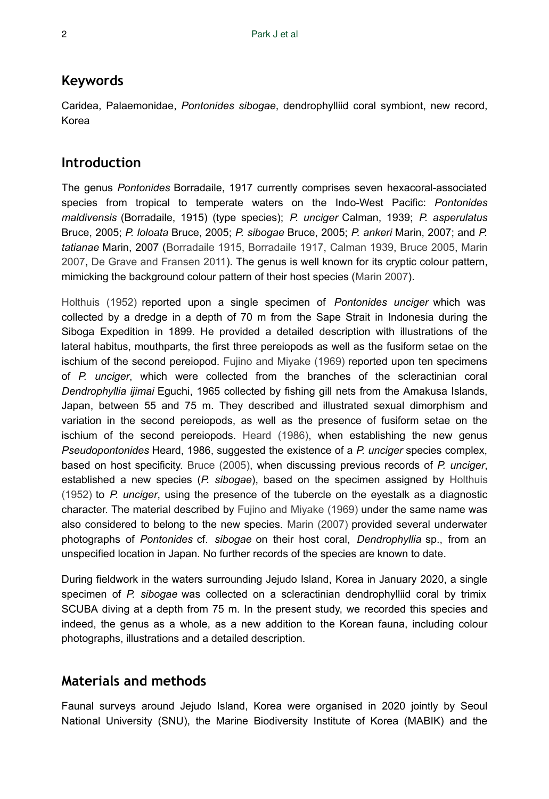## **Keywords**

Caridea, Palaemonidae, *Pontonides sibogae*, dendrophylliid coral symbiont, new record, Korea

# **Introduction**

The genus *Pontonides* Borradaile, 1917 currently comprises seven hexacoral-associated species from tropical to temperate waters on the Indo-West Pacific: *Pontonides maldivensis* (Borradaile, 1915) (type species); *P. unciger* Calman, 1939; *P. asperulatus* Bruce, 2005; *P. loloata* Bruce, 2005; *P. sibogae* Bruce, 2005; *P. ankeri* Marin, 2007; and *P. tatianae* Marin, 2007 ([Borradaile 1915,](#page-10-0) [Borradaile 1917](#page-10-1), [Calman 1939](#page-10-2), [Bruce 2005](#page-10-3), [Marin](#page-11-0) [2007](#page-11-0), [De Grave and Fransen 2011\)](#page-10-4). The genus is well known for its cryptic colour pattern, mimicking the background colour pattern of their host species ([Marin 2007\)](#page-11-0).

[Holthuis \(1952\)](#page-11-1) reported upon a single specimen of *Pontonides unciger* which was collected by a dredge in a depth of 70 m from the Sape Strait in Indonesia during the Siboga Expedition in 1899. He provided a detailed description with illustrations of the lateral habitus, mouthparts, the first three pereiopods as well as the fusiform setae on the ischium of the second pereiopod. [Fujino and Miyake \(1969\)](#page-10-5) reported upon ten specimens of *P. unciger*, which were collected from the branches of the scleractinian coral *Dendrophyllia ijimai* Eguchi, 1965 collected by fishing gill nets from the Amakusa Islands, Japan, between 55 and 75 m. They described and illustrated sexual dimorphism and variation in the second pereiopods, as well as the presence of fusiform setae on the ischium of the second pereiopods. [Heard \(1986\),](#page-10-6) when establishing the new genus *Pseudopontonides* Heard, 1986, suggested the existence of a *P. unciger* species complex, based on host specificity. [Bruce \(2005\),](#page-10-3) when discussing previous records of *P. unciger*, established a new species (*P. sibogae*), based on the specimen assigned by [Holthuis](#page-11-1) [\(1952\)](#page-11-1) to *P. unciger*, using the presence of the tubercle on the eyestalk as a diagnostic character. The material described by [Fujino and Miyake \(1969\)](#page-10-5) under the same name was also considered to belong to the new species. [Marin \(2007\)](#page-11-0) provided several underwater photographs of *Pontonides* cf. *sibogae* on their host coral, *Dendrophyllia* sp., from an unspecified location in Japan. No further records of the species are known to date.

During fieldwork in the waters surrounding Jejudo Island, Korea in January 2020, a single specimen of *P. sibogae* was collected on a scleractinian dendrophylliid coral by trimix SCUBA diving at a depth from 75 m. In the present study, we recorded this species and indeed, the genus as a whole, as a new addition to the Korean fauna, including colour photographs, illustrations and a detailed description.

# **Materials and methods**

Faunal surveys around Jejudo Island, Korea were organised in 2020 jointly by Seoul National University (SNU), the Marine Biodiversity Institute of Korea (MABIK) and the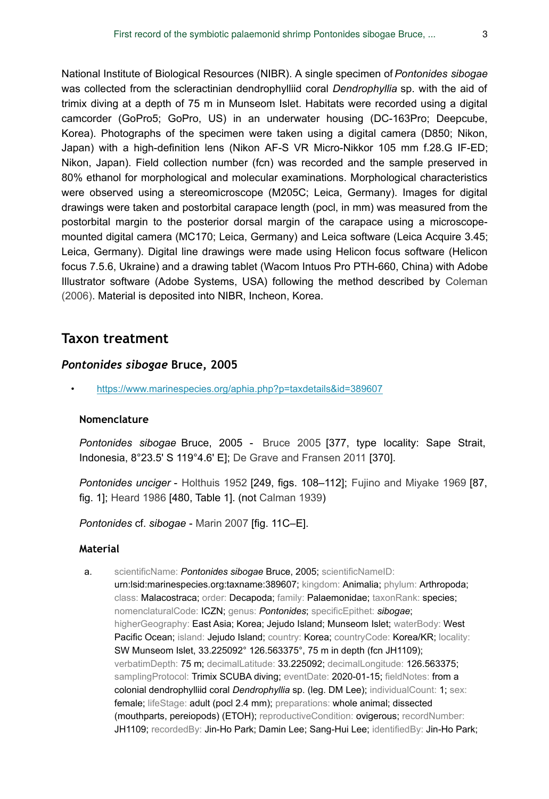National Institute of Biological Resources (NIBR). A single specimen of *Pontonides sibogae* was collected from the scleractinian dendrophylliid coral *Dendrophyllia* sp. with the aid of trimix diving at a depth of 75 m in Munseom Islet. Habitats were recorded using a digital camcorder (GoPro5; GoPro, US) in an underwater housing (DC-163Pro; Deepcube, Korea). Photographs of the specimen were taken using a digital camera (D850; Nikon, Japan) with a high-definition lens (Nikon AF-S VR Micro-Nikkor 105 mm f.28.G IF-ED; Nikon, Japan). Field collection number (fcn) was recorded and the sample preserved in 80% ethanol for morphological and molecular examinations. Morphological characteristics were observed using a stereomicroscope (M205C; Leica, Germany). Images for digital drawings were taken and postorbital carapace length (pocl, in mm) was measured from the postorbital margin to the posterior dorsal margin of the carapace using a microscopemounted digital camera (MC170; Leica, Germany) and Leica software (Leica Acquire 3.45; Leica, Germany). Digital line drawings were made using Helicon focus software (Helicon focus 7.5.6, Ukraine) and a drawing tablet (Wacom Intuos Pro PTH-660, China) with Adobe Illustrator software (Adobe Systems, USA) following the method described by [Coleman](#page-10-7) [\(2006\)](#page-10-7). Material is deposited into NIBR, Incheon, Korea.

## **Taxon treatment**

## *Pontonides sibogae* **Bruce, 2005**

• <https://www.marinespecies.org/aphia.php?p=taxdetails&id=389607>

## **Nomenclature**

*Pontonides sibogae* Bruce, 2005 - [Bruce 2005](#page-10-3) [377, type locality: Sape Strait, Indonesia, 8°23.5' S 119°4.6' E]; [De Grave and Fransen 2011](#page-10-4) [370].

*Pontonides unciger* - [Holthuis 1952](#page-11-1) [249, figs. 108–112]; [Fujino and Miyake 1969](#page-10-5) [87, fig. 1]; [Heard 1986](#page-10-6) [480, Table 1]. (not [Calman 1939](#page-10-2))

*Pontonides* cf. *sibogae* - [Marin 2007](#page-11-0) [fig. 11C–E].

#### **Material**

a. scientificName: *Pontonides sibogae* Bruce, 2005; scientificNameID: urn:lsid:marinespecies.org:taxname:389607; kingdom: Animalia; phylum: Arthropoda; class: Malacostraca; order: Decapoda; family: Palaemonidae; taxonRank: species; nomenclaturalCode: ICZN; genus: *Pontonides*; specificEpithet: *sibogae*; higherGeography: East Asia; Korea; Jejudo Island; Munseom Islet; waterBody: West Pacific Ocean; island: Jejudo Island; country: Korea; countryCode: Korea/KR; locality: SW Munseom Islet, 33.225092° 126.563375°, 75 m in depth (fcn JH1109); verbatimDepth: 75 m; decimalLatitude: 33.225092; decimalLongitude: 126.563375; samplingProtocol: Trimix SCUBA diving; eventDate: 2020-01-15; fieldNotes: from a colonial dendrophylliid coral *Dendrophyllia* sp. (leg. DM Lee); individualCount: 1; sex: female; lifeStage: adult (pocl 2.4 mm); preparations: whole animal; dissected (mouthparts, pereiopods) (ETOH); reproductiveCondition: ovigerous; recordNumber: JH1109; recordedBy: Jin-Ho Park; Damin Lee; Sang-Hui Lee; identifiedBy: Jin-Ho Park;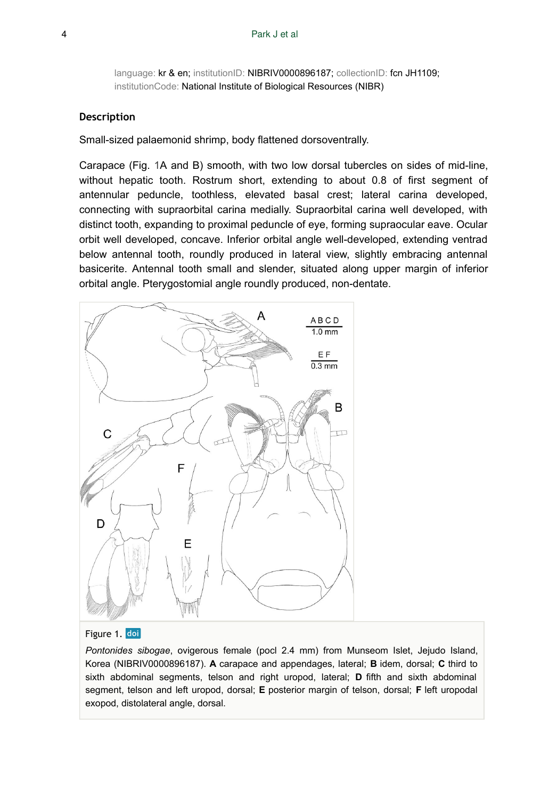language: kr & en; institutionID: NIBRIV0000896187; collectionID: fcn JH1109; institutionCode: National Institute of Biological Resources (NIBR)

#### **Description**

Small-sized palaemonid shrimp, body flattened dorsoventrally.

Carapace (Fig. [1](#page-3-0)A and B) smooth, with two low dorsal tubercles on sides of mid-line, without hepatic tooth. Rostrum short, extending to about 0.8 of first segment of antennular peduncle, toothless, elevated basal crest; lateral carina developed, connecting with supraorbital carina medially. Supraorbital carina well developed, with distinct tooth, expanding to proximal peduncle of eye, forming supraocular eave. Ocular orbit well developed, concave. Inferior orbital angle well-developed, extending ventrad below antennal tooth, roundly produced in lateral view, slightly embracing antennal basicerite. Antennal tooth small and slender, situated along upper margin of inferior orbital angle. Pterygostomial angle roundly produced, non-dentate.

<span id="page-3-0"></span>

#### Figure 1. doi

*Pontonides sibogae*, ovigerous female (pocl 2.4 mm) from Munseom Islet, Jejudo Island, Korea (NIBRIV0000896187). **A** carapace and appendages, lateral; **B** idem, dorsal; **C** third to sixth abdominal segments, telson and right uropod, lateral; **D** fifth and sixth abdominal segment, telson and left uropod, dorsal; **E** posterior margin of telson, dorsal; **F** left uropodal exopod, distolateral angle, dorsal.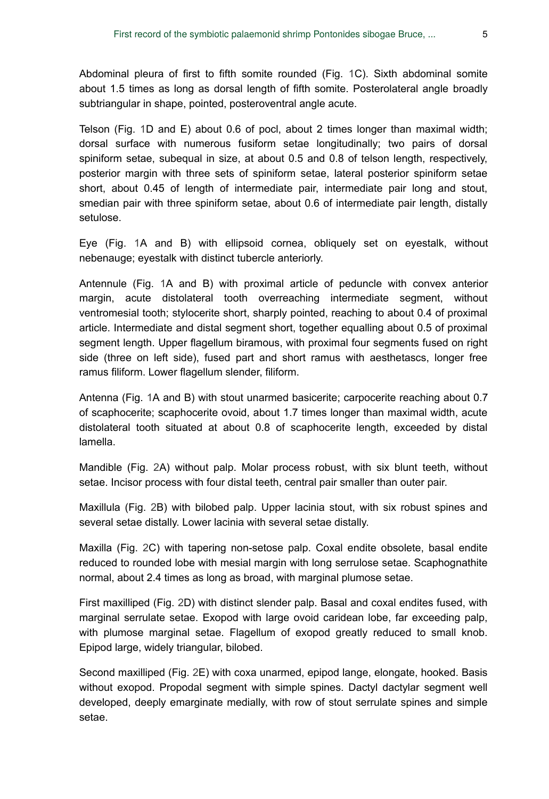Abdominal pleura of first to fifth somite rounded (Fig. [1C](#page-3-0)). Sixth abdominal somite about 1.5 times as long as dorsal length of fifth somite. Posterolateral angle broadly subtriangular in shape, pointed, posteroventral angle acute.

Telson (Fig. [1](#page-3-0)D and E) about 0.6 of pocl, about 2 times longer than maximal width; dorsal surface with numerous fusiform setae longitudinally; two pairs of dorsal spiniform setae, subequal in size, at about 0.5 and 0.8 of telson length, respectively, posterior margin with three sets of spiniform setae, lateral posterior spiniform setae short, about 0.45 of length of intermediate pair, intermediate pair long and stout, smedian pair with three spiniform setae, about 0.6 of intermediate pair length, distally setulose.

Eye (Fig. [1](#page-3-0)A and B) with ellipsoid cornea, obliquely set on eyestalk, without nebenauge; eyestalk with distinct tubercle anteriorly.

Antennule (Fig. [1](#page-3-0)A and B) with proximal article of peduncle with convex anterior margin, acute distolateral tooth overreaching intermediate segment, without ventromesial tooth; stylocerite short, sharply pointed, reaching to about 0.4 of proximal article. Intermediate and distal segment short, together equalling about 0.5 of proximal segment length. Upper flagellum biramous, with proximal four segments fused on right side (three on left side), fused part and short ramus with aesthetascs, longer free ramus filiform. Lower flagellum slender, filiform.

Antenna (Fig. [1A](#page-3-0) and B) with stout unarmed basicerite; carpocerite reaching about 0.7 of scaphocerite; scaphocerite ovoid, about 1.7 times longer than maximal width, acute distolateral tooth situated at about 0.8 of scaphocerite length, exceeded by distal lamella.

Mandible (Fig. [2A](#page-5-0)) without palp. Molar process robust, with six blunt teeth, without setae. Incisor process with four distal teeth, central pair smaller than outer pair.

Maxillula (Fig. [2](#page-5-0)B) with bilobed palp. Upper lacinia stout, with six robust spines and several setae distally. Lower lacinia with several setae distally.

Maxilla (Fig. [2C](#page-5-0)) with tapering non-setose palp. Coxal endite obsolete, basal endite reduced to rounded lobe with mesial margin with long serrulose setae. Scaphognathite normal, about 2.4 times as long as broad, with marginal plumose setae.

First maxilliped (Fig. [2](#page-5-0)D) with distinct slender palp. Basal and coxal endites fused, with marginal serrulate setae. Exopod with large ovoid caridean lobe, far exceeding palp, with plumose marginal setae. Flagellum of exopod greatly reduced to small knob. Epipod large, widely triangular, bilobed.

Second maxilliped (Fig. [2](#page-5-0)E) with coxa unarmed, epipod lange, elongate, hooked. Basis without exopod. Propodal segment with simple spines. Dactyl dactylar segment well developed, deeply emarginate medially, with row of stout serrulate spines and simple setae.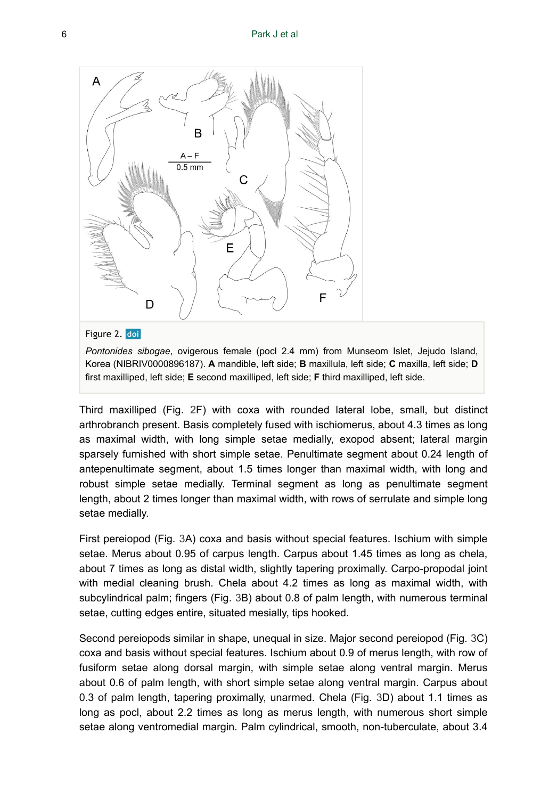<span id="page-5-0"></span>

## Figure 2. doi

*Pontonides sibogae*, ovigerous female (pocl 2.4 mm) from Munseom Islet, Jejudo Island, Korea (NIBRIV0000896187). **A** mandible, left side; **B** maxillula, left side; **C** maxilla, left side; **D** first maxilliped, left side; **E** second maxilliped, left side; **F** third maxilliped, left side.

Third maxilliped (Fig. [2F](#page-5-0)) with coxa with rounded lateral lobe, small, but distinct arthrobranch present. Basis completely fused with ischiomerus, about 4.3 times as long as maximal width, with long simple setae medially, exopod absent; lateral margin sparsely furnished with short simple setae. Penultimate segment about 0.24 length of antepenultimate segment, about 1.5 times longer than maximal width, with long and robust simple setae medially. Terminal segment as long as penultimate segment length, about 2 times longer than maximal width, with rows of serrulate and simple long setae medially.

First pereiopod (Fig. [3A](#page-6-0)) coxa and basis without special features. Ischium with simple setae. Merus about 0.95 of carpus length. Carpus about 1.45 times as long as chela, about 7 times as long as distal width, slightly tapering proximally. Carpo-propodal joint with medial cleaning brush. Chela about 4.2 times as long as maximal width, with subcylindrical palm; fingers (Fig. [3](#page-6-0)B) about 0.8 of palm length, with numerous terminal setae, cutting edges entire, situated mesially, tips hooked.

Second pereiopods similar in shape, unequal in size. Major second pereiopod (Fig. [3C](#page-6-0)) coxa and basis without special features. Ischium about 0.9 of merus length, with row of fusiform setae along dorsal margin, with simple setae along ventral margin. Merus about 0.6 of palm length, with short simple setae along ventral margin. Carpus about 0.3 of palm length, tapering proximally, unarmed. Chela (Fig. [3](#page-6-0)D) about 1.1 times as long as pocl, about 2.2 times as long as merus length, with numerous short simple setae along ventromedial margin. Palm cylindrical, smooth, non-tuberculate, about 3.4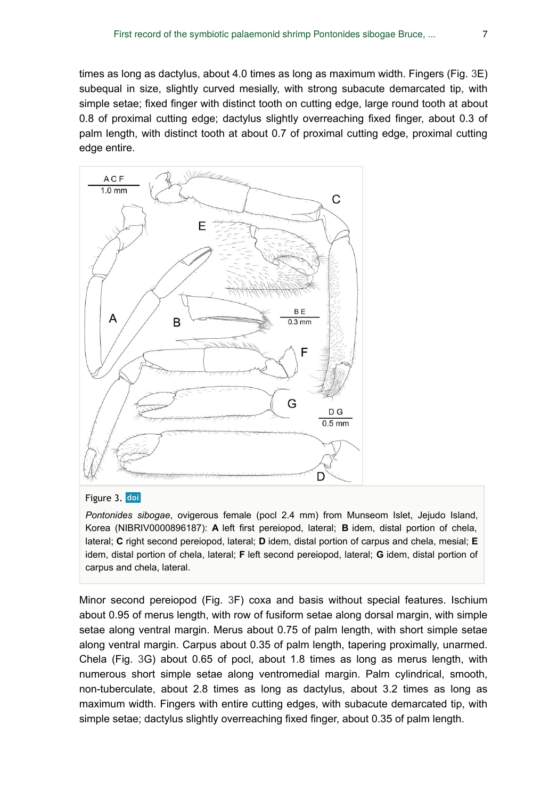times as long as dactylus, about 4.0 times as long as maximum width. Fingers (Fig. [3](#page-6-0)E) subequal in size, slightly curved mesially, with strong subacute demarcated tip, with simple setae; fixed finger with distinct tooth on cutting edge, large round tooth at about 0.8 of proximal cutting edge; dactylus slightly overreaching fixed finger, about 0.3 of palm length, with distinct tooth at about 0.7 of proximal cutting edge, proximal cutting edge entire.

<span id="page-6-0"></span>

#### Figure 3. doi

*Pontonides sibogae*, ovigerous female (pocl 2.4 mm) from Munseom Islet, Jejudo Island, Korea (NIBRIV0000896187): **A** left first pereiopod, lateral; **B** idem, distal portion of chela, lateral; **C** right second pereiopod, lateral; **D** idem, distal portion of carpus and chela, mesial; **E** idem, distal portion of chela, lateral; **F** left second pereiopod, lateral; **G** idem, distal portion of carpus and chela, lateral.

Minor second pereiopod (Fig. [3](#page-6-0)F) coxa and basis without special features. Ischium about 0.95 of merus length, with row of fusiform setae along dorsal margin, with simple setae along ventral margin. Merus about 0.75 of palm length, with short simple setae along ventral margin. Carpus about 0.35 of palm length, tapering proximally, unarmed. Chela (Fig. [3G](#page-6-0)) about 0.65 of pocl, about 1.8 times as long as merus length, with numerous short simple setae along ventromedial margin. Palm cylindrical, smooth, non-tuberculate, about 2.8 times as long as dactylus, about 3.2 times as long as maximum width. Fingers with entire cutting edges, with subacute demarcated tip, with simple setae; dactylus slightly overreaching fixed finger, about 0.35 of palm length.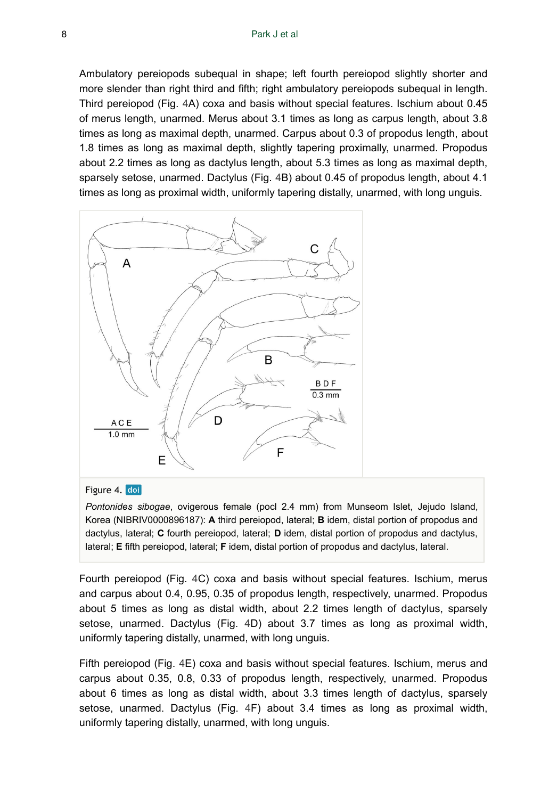Ambulatory pereiopods subequal in shape; left fourth pereiopod slightly shorter and more slender than right third and fifth; right ambulatory pereiopods subequal in length. Third pereiopod (Fig. [4](#page-7-0)A) coxa and basis without special features. Ischium about 0.45 of merus length, unarmed. Merus about 3.1 times as long as carpus length, about 3.8 times as long as maximal depth, unarmed. Carpus about 0.3 of propodus length, about 1.8 times as long as maximal depth, slightly tapering proximally, unarmed. Propodus about 2.2 times as long as dactylus length, about 5.3 times as long as maximal depth, sparsely setose, unarmed. Dactylus (Fig. [4B](#page-7-0)) about 0.45 of propodus length, about 4.1 times as long as proximal width, uniformly tapering distally, unarmed, with long unguis.

<span id="page-7-0"></span>

#### Figure 4. doi

*Pontonides sibogae*, ovigerous female (pocl 2.4 mm) from Munseom Islet, Jejudo Island, Korea (NIBRIV0000896187): **A** third pereiopod, lateral; **B** idem, distal portion of propodus and dactylus, lateral; **C** fourth pereiopod, lateral; **D** idem, distal portion of propodus and dactylus, lateral; **E** fifth pereiopod, lateral; **F** idem, distal portion of propodus and dactylus, lateral.

Fourth pereiopod (Fig. [4C](#page-7-0)) coxa and basis without special features. Ischium, merus and carpus about 0.4, 0.95, 0.35 of propodus length, respectively, unarmed. Propodus about 5 times as long as distal width, about 2.2 times length of dactylus, sparsely setose, unarmed. Dactylus (Fig. [4](#page-7-0)D) about 3.7 times as long as proximal width, uniformly tapering distally, unarmed, with long unguis.

Fifth pereiopod (Fig. [4E](#page-7-0)) coxa and basis without special features. Ischium, merus and carpus about 0.35, 0.8, 0.33 of propodus length, respectively, unarmed. Propodus about 6 times as long as distal width, about 3.3 times length of dactylus, sparsely setose, unarmed. Dactylus (Fig. [4F](#page-7-0)) about 3.4 times as long as proximal width, uniformly tapering distally, unarmed, with long unguis.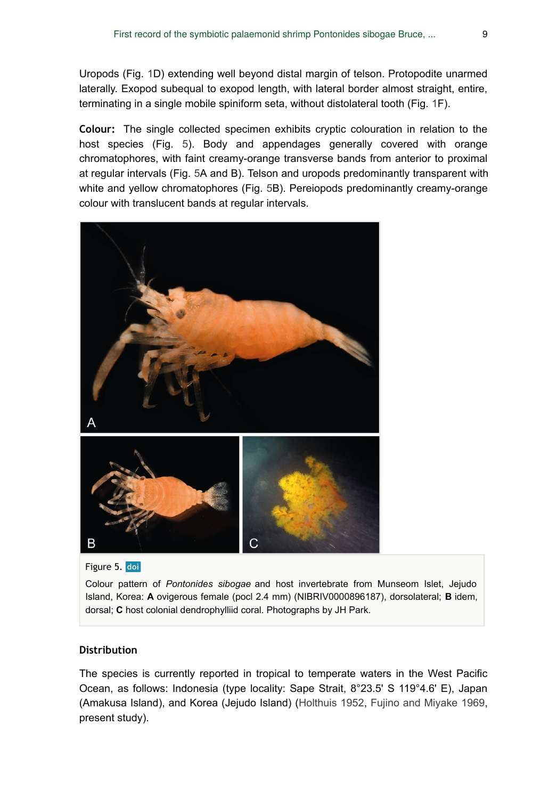Uropods (Fig. [1](#page-3-0)D) extending well beyond distal margin of telson. Protopodite unarmed laterally. Exopod subequal to exopod length, with lateral border almost straight, entire, terminating in a single mobile spiniform seta, without distolateral tooth (Fig. [1F](#page-3-0)).

**Colour:** The single collected specimen exhibits cryptic colouration in relation to the host species (Fig. [5](#page-8-0)). Body and appendages generally covered with orange chromatophores, with faint creamy-orange transverse bands from anterior to proximal at regular intervals (Fig. [5](#page-8-0)A and B). Telson and uropods predominantly transparent with white and yellow chromatophores (Fig. [5B](#page-8-0)). Pereiopods predominantly creamy-orange colour with translucent bands at regular intervals.

<span id="page-8-0"></span>

Figure 5. doi

Colour pattern of *Pontonides sibogae* and host invertebrate from Munseom Islet, Jejudo Island, Korea: **A** ovigerous female (pocl 2.4 mm) (NIBRIV0000896187), dorsolateral; **B** idem, dorsal; **C** host colonial dendrophylliid coral. Photographs by JH Park.

### **Distribution**

The species is currently reported in tropical to temperate waters in the West Pacific Ocean, as follows: Indonesia (type locality: Sape Strait, 8°23.5' S 119°4.6' E), Japan (Amakusa Island), and Korea (Jejudo Island) [\(Holthuis 1952,](#page-11-1) [Fujino and Miyake 1969,](#page-10-5) present study).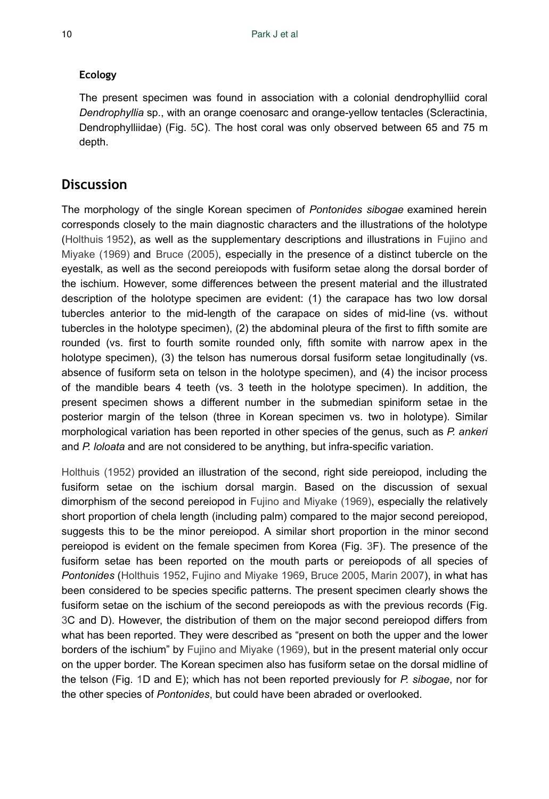## **Ecology**

The present specimen was found in association with a colonial dendrophylliid coral *Dendrophyllia* sp., with an orange coenosarc and orange-yellow tentacles (Scleractinia, Dendrophylliidae) (Fig. [5](#page-8-0)C). The host coral was only observed between 65 and 75 m depth.

# **Discussion**

The morphology of the single Korean specimen of *Pontonides sibogae* examined herein corresponds closely to the main diagnostic characters and the illustrations of the holotype [\(Holthuis 1952](#page-11-1)), as well as the supplementary descriptions and illustrations in [Fujino and](#page-10-5) [Miyake \(1969\)](#page-10-5) and [Bruce \(2005\),](#page-10-3) especially in the presence of a distinct tubercle on the eyestalk, as well as the second pereiopods with fusiform setae along the dorsal border of the ischium. However, some differences between the present material and the illustrated description of the holotype specimen are evident: (1) the carapace has two low dorsal tubercles anterior to the mid-length of the carapace on sides of mid-line (vs. without tubercles in the holotype specimen), (2) the abdominal pleura of the first to fifth somite are rounded (vs. first to fourth somite rounded only, fifth somite with narrow apex in the holotype specimen), (3) the telson has numerous dorsal fusiform setae longitudinally (vs. absence of fusiform seta on telson in the holotype specimen), and (4) the incisor process of the mandible bears 4 teeth (vs. 3 teeth in the holotype specimen). In addition, the present specimen shows a different number in the submedian spiniform setae in the posterior margin of the telson (three in Korean specimen vs. two in holotype). Similar morphological variation has been reported in other species of the genus, such as *P. ankeri* and *P. loloata* and are not considered to be anything, but infra-specific variation.

[Holthuis \(1952\)](#page-11-1) provided an illustration of the second, right side pereiopod, including the fusiform setae on the ischium dorsal margin. Based on the discussion of sexual dimorphism of the second pereiopod in [Fujino and Miyake \(1969\)](#page-10-5), especially the relatively short proportion of chela length (including palm) compared to the major second pereiopod, suggests this to be the minor pereiopod. A similar short proportion in the minor second pereiopod is evident on the female specimen from Korea (Fig. [3](#page-6-0)F). The presence of the fusiform setae has been reported on the mouth parts or pereiopods of all species of *Pontonides* [\(Holthuis 1952](#page-11-1), [Fujino and Miyake 1969,](#page-10-5) [Bruce 2005,](#page-10-3) [Marin 2007](#page-11-0)), in what has been considered to be species specific patterns. The present specimen clearly shows the fusiform setae on the ischium of the second pereiopods as with the previous records (Fig. [3](#page-6-0)C and D). However, the distribution of them on the major second pereiopod differs from what has been reported. They were described as "present on both the upper and the lower borders of the ischium" by [Fujino and Miyake \(1969\)](#page-10-5), but in the present material only occur on the upper border. The Korean specimen also has fusiform setae on the dorsal midline of the telson (Fig. [1D](#page-3-0) and E); which has not been reported previously for *P. sibogae*, nor for the other species of *Pontonides*, but could have been abraded or overlooked.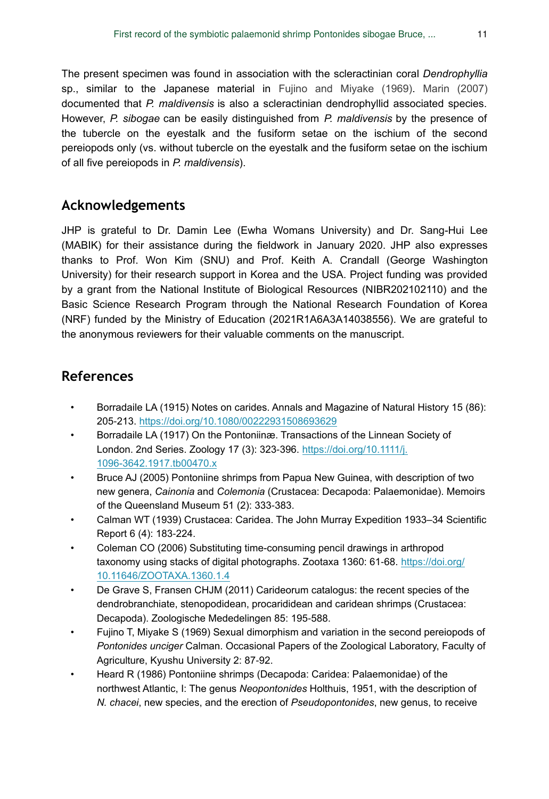The present specimen was found in association with the scleractinian coral *Dendrophyllia* sp., similar to the Japanese material in [Fujino and Miyake \(1969\)](#page-10-5). [Marin \(2007\)](#page-11-0) documented that *P. maldivensis* is also a scleractinian dendrophyllid associated species. However, *P. sibogae* can be easily distinguished from *P. maldivensis* by the presence of the tubercle on the eyestalk and the fusiform setae on the ischium of the second pereiopods only (vs. without tubercle on the eyestalk and the fusiform setae on the ischium of all five pereiopods in *P. maldivensis*).

# **Acknowledgements**

JHP is grateful to Dr. Damin Lee (Ewha Womans University) and Dr. Sang-Hui Lee (MABIK) for their assistance during the fieldwork in January 2020. JHP also expresses thanks to Prof. Won Kim (SNU) and Prof. Keith A. Crandall (George Washington University) for their research support in Korea and the USA. Project funding was provided by a grant from the National Institute of Biological Resources (NIBR202102110) and the Basic Science Research Program through the National Research Foundation of Korea (NRF) funded by the Ministry of Education (2021R1A6A3A14038556). We are grateful to the anonymous reviewers for their valuable comments on the manuscript.

# **References**

- <span id="page-10-0"></span>• Borradaile LA (1915) Notes on carides. Annals and Magazine of Natural History 15 (86): 205‑213. <https://doi.org/10.1080/00222931508693629>
- <span id="page-10-1"></span>• Borradaile LA (1917) On the Pontoniinæ. Transactions of the Linnean Society of London. 2nd Series. Zoology 17 (3): 323‑396. [https://doi.org/10.1111/j.](https://doi.org/10.1111/j.1096-3642.1917.tb00470.x) [1096-3642.1917.tb00470.x](https://doi.org/10.1111/j.1096-3642.1917.tb00470.x)
- <span id="page-10-3"></span>• Bruce AJ (2005) Pontoniine shrimps from Papua New Guinea, with description of two new genera, *Cainonia* and *Colemonia* (Crustacea: Decapoda: Palaemonidae). Memoirs of the Queensland Museum 51 (2): 333‑383.
- <span id="page-10-2"></span>• Calman WT (1939) Crustacea: Caridea. The John Murray Expedition 1933–34 Scientific Report 6 (4): 183‑224.
- <span id="page-10-7"></span>• Coleman CO (2006) Substituting time-consuming pencil drawings in arthropod taxonomy using stacks of digital photographs. Zootaxa 1360: 61-68. [https://doi.org/](https://doi.org/10.11646/ZOOTAXA.1360.1.4) [10.11646/ZOOTAXA.1360.1.4](https://doi.org/10.11646/ZOOTAXA.1360.1.4)
- <span id="page-10-4"></span>• De Grave S, Fransen CHJM (2011) Carideorum catalogus: the recent species of the dendrobranchiate, stenopodidean, procarididean and caridean shrimps (Crustacea: Decapoda). Zoologische Mededelingen 85: 195‑588.
- <span id="page-10-5"></span>• Fujino T, Miyake S (1969) Sexual dimorphism and variation in the second pereiopods of *Pontonides unciger* Calman. Occasional Papers of the Zoological Laboratory, Faculty of Agriculture, Kyushu University 2: 87‑92.
- <span id="page-10-6"></span>• Heard R (1986) Pontoniine shrimps (Decapoda: Caridea: Palaemonidae) of the northwest Atlantic, I: The genus *Neopontonides* Holthuis, 1951, with the description of *N. chacei*, new species, and the erection of *Pseudopontonides*, new genus, to receive